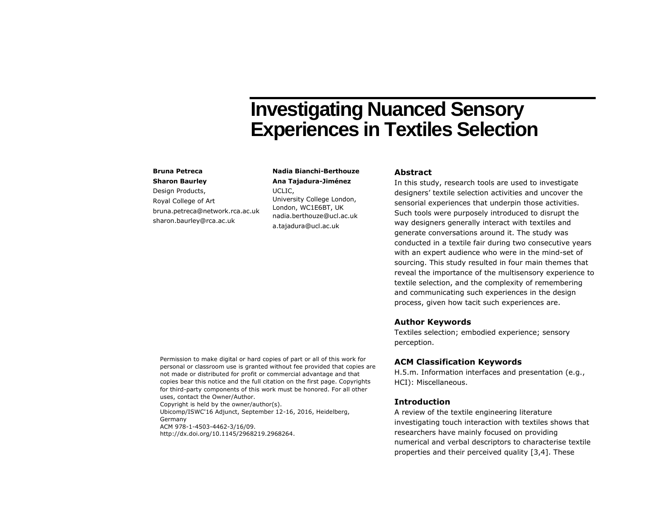# **Investigating Nuanced Sensory Experiences in Textiles Selection**

#### **Bruna Petreca**

**Sharon Baurley** Design Products, Royal College of Art bruna.petreca@network.rca.ac.uk sharon.baurley@rca.ac.uk

## **Nadia Bianchi-Berthouze Ana Tajadura-Jiménez**

UCLIC, University College London, London, WC1E6BT, UK nadia.berthouze@ucl.ac.uk a.tajadura@ucl.ac.uk

## **Abstract**

In this study, research tools are used to investigate designers' textile selection activities and uncover the sensorial experiences that underpin those activities. Such tools were purposely introduced to disrupt the way designers generally interact with textiles and generate conversations around it. The study was conducted in a textile fair during two consecutive years with an expert audience who were in the mind-set of sourcing. This study resulted in four main themes that reveal the importance of the multisensory experience to textile selection, and the complexity of remembering and communicating such experiences in the design process, given how tacit such experiences are.

## **Author Keywords**

Textiles selection; embodied experience; sensory perception.

# **ACM Classification Keywords**

H.5.m. Information interfaces and presentation (e.g., HCI): Miscellaneous.

## **Introduction**

A review of the textile engineering literature investigating touch interaction with textiles shows that researchers have mainly focused on providing numerical and verbal descriptors to characterise textile properties and their perceived quality [3,4]. These

Permission to make digital or hard copies of part or all of this work for personal or classroom use is granted without fee provided that copies are not made or distributed for profit or commercial advantage and that copies bear this notice and the full citation on the first page. Copyrights for third-party components of this work must be honored. For all other uses, contact the Owner/Author.

Copyright is held by the owner/author(s).

Ubicomp/ISWC'16 Adjunct, September 12-16, 2016, Heidelberg, Germany

ACM 978-1-4503-4462-3/16/09. http://dx.doi.org/10.1145/2968219.2968264.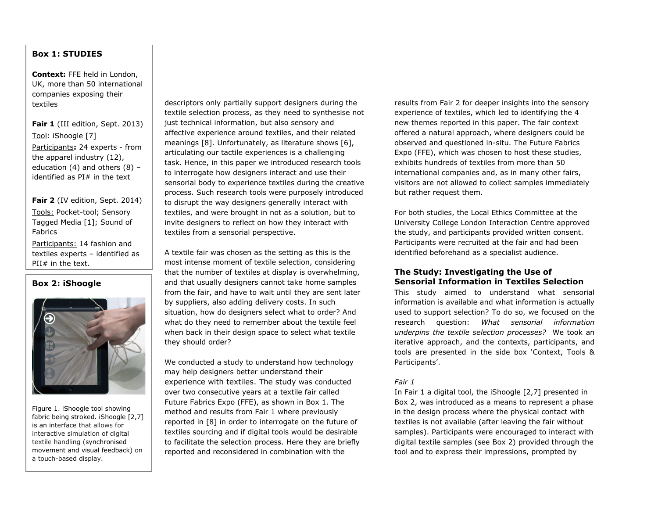# **Box 1: STUDIES**

**Context:** FFE held in London, UK, more than 50 international companies exposing their textiles

Fair 1 (III edition, Sept. 2013) Tool: iShoogle [7] Participants**:** 24 experts - from the apparel industry (12), education  $(4)$  and others  $(8)$  identified as PI# in the text

**Fair 2** (IV edition, Sept. 2014) Tools: Pocket-tool; Sensory Tagged Media [1]; Sound of

Participants: 14 fashion and textiles experts – identified as PII# in the text.

# **Box 2: iShoogle**

Fabrics



Figure 1. iShoogle tool showing fabric being stroked. iShoogle [2,7] is an interface that allows for interactive simulation of digital textile handling (synchronised movement and visual feedback) on a touch-based display.

descriptors only partially support designers during the textile selection process, as they need to synthesise not just technical information, but also sensory and affective experience around textiles, and their related meanings [8]. Unfortunately, as literature shows [6], articulating our tactile experiences is a challenging task. Hence, in this paper we introduced research tools to interrogate how designers interact and use their sensorial body to experience textiles during the creative process. Such research tools were purposely introduced to disrupt the way designers generally interact with textiles, and were brought in not as a solution, but to invite designers to reflect on how they interact with textiles from a sensorial perspective.

A textile fair was chosen as the setting as this is the most intense moment of textile selection, considering that the number of textiles at display is overwhelming, and that usually designers cannot take home samples from the fair, and have to wait until they are sent later by suppliers, also adding delivery costs. In such situation, how do designers select what to order? And what do they need to remember about the textile feel when back in their design space to select what textile they should order?

We conducted a study to understand how technology may help designers better understand their experience with textiles. The study was conducted over two consecutive years at a textile fair called Future Fabrics Expo (FFE), as shown in Box 1. The method and results from Fair 1 where previously reported in [8] in order to interrogate on the future of textiles sourcing and if digital tools would be desirable to facilitate the selection process. Here they are briefly reported and reconsidered in combination with the

results from Fair 2 for deeper insights into the sensory experience of textiles, which led to identifying the 4 new themes reported in this paper. The fair context offered a natural approach, where designers could be observed and questioned in-situ. The Future Fabrics Expo (FFE), which was chosen to host these studies, exhibits hundreds of textiles from more than 50 international companies and, as in many other fairs, visitors are not allowed to collect samples immediately but rather request them.

For both studies, the Local Ethics Committee at the University College London Interaction Centre approved the study, and participants provided written consent. Participants were recruited at the fair and had been identified beforehand as a specialist audience.

# **The Study: Investigating the Use of Sensorial Information in Textiles Selection**

This study aimed to understand what sensorial information is available and what information is actually used to support selection? To do so, we focused on the research question: *What sensorial information underpins the textile selection processes?* We took an iterative approach, and the contexts, participants, and tools are presented in the side box 'Context, Tools & Participants'.

## *Fair 1*

In Fair 1 a digital tool, the iShoogle [2,7] presented in Box 2, was introduced as a means to represent a phase in the design process where the physical contact with textiles is not available (after leaving the fair without samples). Participants were encouraged to interact with digital textile samples (see Box 2) provided through the tool and to express their impressions, prompted by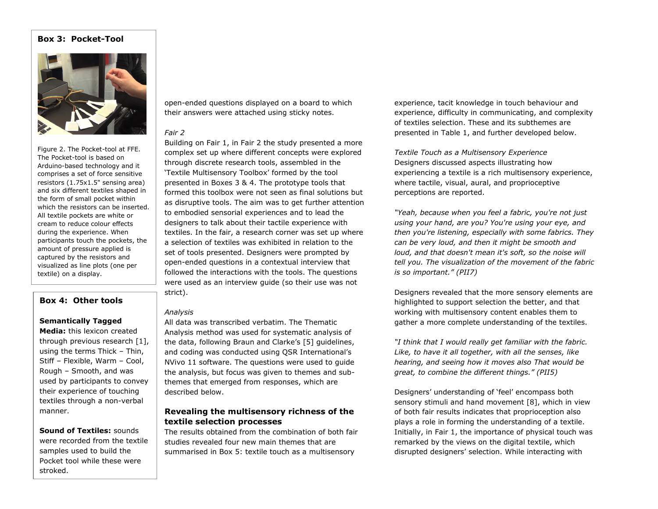# **Box 3: Pocket-Tool**



Figure 2. The Pocket-tool at FFE. The Pocket-tool is based on Arduino-based technology and it comprises a set of force sensitive resistors (1.75x1.5" sensing area) and six different textiles shaped in the form of small pocket within which the resistors can be inserted. All textile pockets are white or cream to reduce colour effects during the experience. When participants touch the pockets, the amount of pressure applied is captured by the resistors and visualized as line plots (one per textile) on a display.

# **Box 4: Other tools**

#### **Semantically Tagged**

**Media:** this lexicon created through previous research [1], using the terms Thick – Thin, Stiff – Flexible, Warm – Cool, Rough – Smooth, and was used by participants to convey their experience of touching textiles through a non-verbal manner.

**Sound of Textiles:** sounds were recorded from the textile samples used to build the Pocket tool while these were stroked.

open-ended questions displayed on a board to which their answers were attached using sticky notes.

#### *Fair 2*

Building on Fair 1, in Fair 2 the study presented a more complex set up where different concepts were explored through discrete research tools, assembled in the 'Textile Multisensory Toolbox' formed by the tool presented in Boxes 3 & 4. The prototype tools that formed this toolbox were not seen as final solutions but as disruptive tools. The aim was to get further attention to embodied sensorial experiences and to lead the designers to talk about their tactile experience with textiles. In the fair, a research corner was set up where a selection of textiles was exhibited in relation to the set of tools presented. Designers were prompted by open-ended questions in a contextual interview that followed the interactions with the tools. The questions were used as an interview guide (so their use was not strict).

#### *Analysis*

All data was transcribed verbatim. The Thematic Analysis method was used for systematic analysis of the data, following Braun and Clarke's [5] guidelines, and coding was conducted using QSR International's NVivo 11 software. The questions were used to guide the analysis, but focus was given to themes and subthemes that emerged from responses, which are described below.

# **Revealing the multisensory richness of the textile selection processes**

The results obtained from the combination of both fair studies revealed four new main themes that are summarised in Box 5: textile touch as a multisensory

experience, tacit knowledge in touch behaviour and experience, difficulty in communicating, and complexity of textiles selection. These and its subthemes are presented in Table 1, and further developed below.

*Textile Touch as a Multisensory Experience* Designers discussed aspects illustrating how experiencing a textile is a rich multisensory experience, where tactile, visual, aural, and proprioceptive perceptions are reported.

*"Yeah, because when you feel a fabric, you're not just using your hand, are you? You're using your eye, and then you're listening, especially with some fabrics. They can be very loud, and then it might be smooth and loud, and that doesn't mean it's soft, so the noise will tell you. The visualization of the movement of the fabric is so important." (PII7)*

Designers revealed that the more sensory elements are highlighted to support selection the better, and that working with multisensory content enables them to gather a more complete understanding of the textiles.

*"I think that I would really get familiar with the fabric. Like, to have it all together, with all the senses, like hearing, and seeing how it moves also That would be great, to combine the different things." (PII5)*

Designers' understanding of 'feel' encompass both sensory stimuli and hand movement [8], which in view of both fair results indicates that proprioception also plays a role in forming the understanding of a textile. Initially, in Fair 1, the importance of physical touch was remarked by the views on the digital textile, which disrupted designers' selection. While interacting with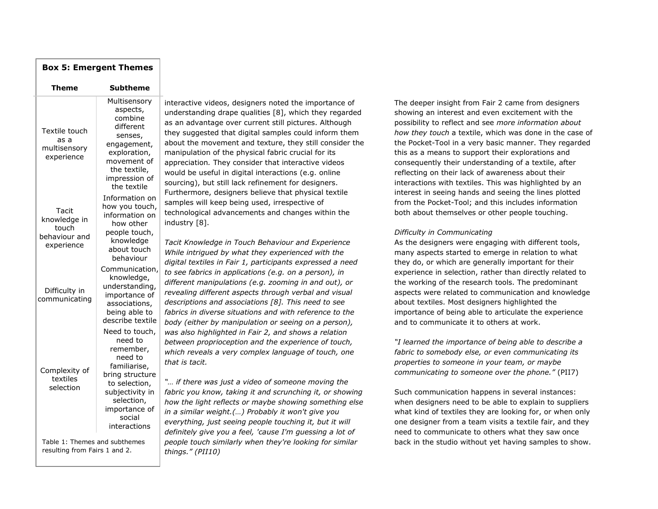| <b>Box 5: Emergent Themes</b>                                  |                                                                                                                                                                                   |                                                                                                                                                                                                                                                                     |
|----------------------------------------------------------------|-----------------------------------------------------------------------------------------------------------------------------------------------------------------------------------|---------------------------------------------------------------------------------------------------------------------------------------------------------------------------------------------------------------------------------------------------------------------|
| Theme                                                          | Subtheme                                                                                                                                                                          |                                                                                                                                                                                                                                                                     |
| Textile touch<br>as a<br>multisensory<br>experience            | Multisensory<br>aspects,<br>combine<br>different<br>senses,<br>engagement,<br>exploration,<br>movement of<br>the textile,<br>impression of<br>the textile                         | inter<br>unde<br>as a<br>they<br>abou<br>man<br>appr<br>woul<br>sour<br>Furtl<br>sam<br>tech<br>indu<br>Tacit<br>Whil<br>digit<br>to se<br>diffe<br>reve<br>desc<br>fabri<br>body<br>was<br>betw<br>whic<br>that<br>" if<br>fabri<br>how<br>in a l<br>ever<br>defir |
| Tacit<br>knowledge in<br>touch<br>behaviour and<br>experience  | Information on<br>how you touch,<br>information on<br>how other<br>people touch,<br>knowledge<br>about touch<br>behaviour                                                         |                                                                                                                                                                                                                                                                     |
| Difficulty in<br>communicating                                 | Communication,<br>knowledge,<br>understanding,<br>importance of<br>associations,<br>being able to<br>describe textile                                                             |                                                                                                                                                                                                                                                                     |
| Complexity of<br>textiles<br>selection                         | Need to touch,<br>need to<br>remember,<br>need to<br>familiarise,<br>bring structure<br>to selection,<br>subjectivity in<br>selection,<br>importance of<br>social<br>interactions |                                                                                                                                                                                                                                                                     |
| Table 1: Themes and subthemes<br>resulting from Fairs 1 and 2. |                                                                                                                                                                                   | peop<br>thino                                                                                                                                                                                                                                                       |

ractive videos, designers noted the importance of erstanding drape qualities [8], which they regarded n advantage over current still pictures. Although suggested that digital samples could inform them at the movement and texture, they still consider the ipulation of the physical fabric crucial for its reciation. They consider that interactive videos ld be useful in digital interactions (e.g. online cing), but still lack refinement for designers. hermore, designers believe that physical textile ples will keep being used, irrespective of nological advancements and changes within the istry [8].

*Tacit Knowledge in Touch Behaviour and Experience While intrigued by what they experienced with the digital textiles in Fair 1, participants expressed a need to see fabrics in applications (e.g. on a person), in different manipulations (e.g. zooming in and out), or revealing different aspects through verbal and visual descriptions and associations [8]. This need to see facarics in diverse situations and with reference to the body (either by manipulation or seeing on a person), was also highlighted in Fair 2, and shows a relation between proprioception and the experience of touch, which reveals a very complex language of touch, one is tacit.* 

*"… if there was just a video of someone moving the fabric you know, taking it and scrunching it, or showing how the light reflects or maybe showing something else in a similar weight.(…) Probably it won't give you everything, just seeing people touching it, but it will definitely give you a feel, 'cause I'm guessing a lot of*  ble touch similarly when they're looking for similar *things." (PII10)* 

The deeper insight from Fair 2 came from designers showing an interest and even excitement with the possibility to reflect and see *more information about how they touch* a textile, which was done in the case of the Pocket-Tool in a very basic manner. They regarded this as a means to support their explorations and consequently their understanding of a textile, after reflecting on their lack of awareness about their interactions with textiles. This was highlighted by an interest in seeing hands and seeing the lines plotted from the Pocket-Tool; and this includes information both about themselves or other people touching.

#### *Difficulty in Communicating*

As the designers were engaging with different tools, many aspects started to emerge in relation to what they do, or which are generally important for their experience in selection, rather than directly related to the working of the research tools. The predominant aspects were related to communication and knowledge about textiles. Most designers highlighted the importance of being able to articulate the experience and to communicate it to others at work.

*"I learned the importance of being able to describe a fabric to somebody else, or even communicating its properties to someone in your team, or maybe communicating to someone over the phone."* (PII7)

Such communication happens in several instances: when designers need to be able to explain to suppliers what kind of textiles they are looking for, or when only one designer from a team visits a textile fair, and they need to communicate to others what they saw once back in the studio without yet having samples to show.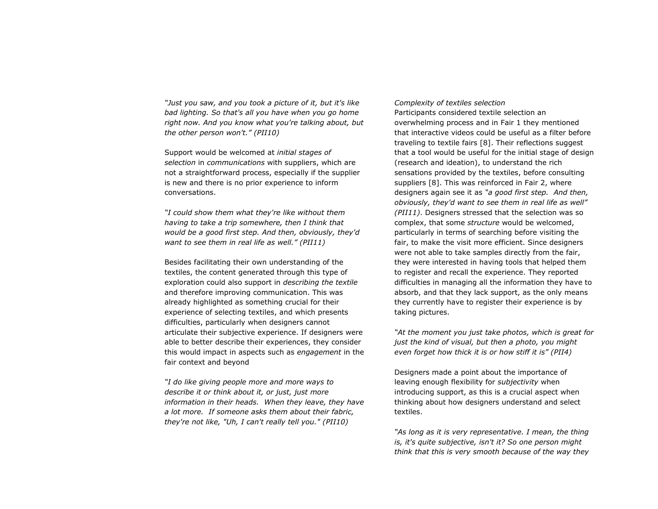*"Just you saw, and you took a picture of it, but it's like bad lighting. So that's all you have when you go home right now. And you know what you're talking about, but the other person won't." (PII10)*

Support would be welcomed at *initial stages of selection* in *communications* with suppliers, which are not a straightforward process, especially if the supplier is new and there is no prior experience to inform conversations.

*"I could show them what they're like without them having to take a trip somewhere, then I think that would be a good first step. And then, obviously, they'd want to see them in real life as well." (PII11)* 

Besides facilitating their own understanding of the textiles, the content generated through this type of exploration could also support in *describing the textile* and therefore improving communication. This was already highlighted as something crucial for their experience of selecting textiles, and which presents difficulties, particularly when designers cannot articulate their subjective experience. If designers were able to better describe their experiences, they consider this would impact in aspects such as *engagement* in the fair context and beyond

*"I do like giving people more and more ways to describe it or think about it, or just, just more information in their heads. When they leave, they have a lot more. If someone asks them about their fabric, they're not like, "Uh, I can't really tell you." (PII10)*

#### *Complexity of textiles selection*

Participants considered textile selection an overwhelming process and in Fair 1 they mentioned that interactive videos could be useful as a filter before traveling to textile fairs [8]. Their reflections suggest that a tool would be useful for the initial stage of design (research and ideation), to understand the rich sensations provided by the textiles, before consulting suppliers [8]. This was reinforced in Fair 2, where designers again see it as *"a good first step. And then, obviously, they'd want to see them in real life as well" (PII11)*. Designers stressed that the selection was so complex, that some *structure* would be welcomed, particularly in terms of searching before visiting the fair, to make the visit more efficient. Since designers were not able to take samples directly from the fair, they were interested in having tools that helped them to register and recall the experience. They reported difficulties in managing all the information they have to absorb, and that they lack support, as the only means they currently have to register their experience is by taking pictures.

*"At the moment you just take photos, which is great for just the kind of visual, but then a photo, you might even forget how thick it is or how stiff it is" (PII4)*

Designers made a point about the importance of leaving enough flexibility for *subjectivity* when introducing support, as this is a crucial aspect when thinking about how designers understand and select textiles.

*"As long as it is very representative. I mean, the thing is, it's quite subjective, isn't it? So one person might think that this is very smooth because of the way they*